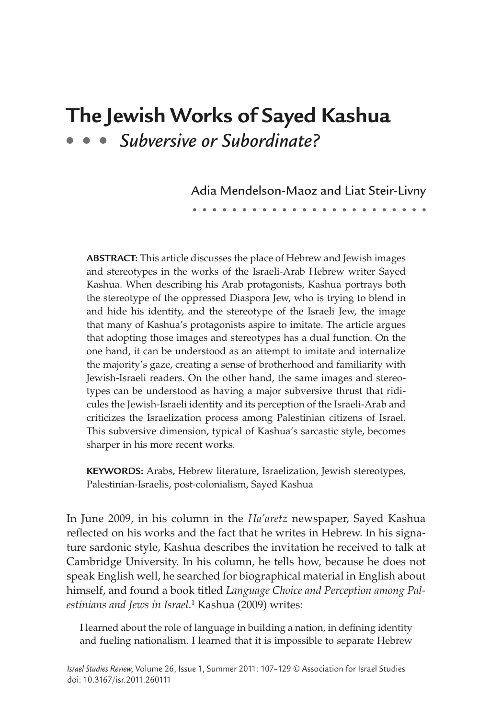# **The Jewish Works of Sayed Kashua** *Subversive or Subordinate?*

Adia Mendelson-Maoz and Liat Steir-Livny

**Abstract:** This article discusses the place of Hebrew and Jewish images and stereotypes in the works of the Israeli-Arab Hebrew writer Sayed Kashua. When describing his Arab protagonists, Kashua portrays both the stereotype of the oppressed Diaspora Jew, who is trying to blend in and hide his identity, and the stereotype of the Israeli Jew, the image that many of Kashua's protagonists aspire to imitate. The article argues that adopting those images and stereotypes has a dual function. On the one hand, it can be understood as an attempt to imitate and internalize the majority's gaze, creating a sense of brotherhood and familiarity with Jewish-Israeli readers. On the other hand, the same images and stereotypes can be understood as having a major subversive thrust that ridicules the Jewish-Israeli identity and its perception of the Israeli-Arab and criticizes the Israelization process among Palestinian citizens of Israel. This subversive dimension, typical of Kashua's sarcastic style, becomes sharper in his more recent works.

**Keywords:** Arabs, Hebrew literature, Israelization, Jewish stereotypes, Palestinian-Israelis, post-colonialism, Sayed Kashua

In June 2009, in his column in the *Ha'aretz* newspaper, Sayed Kashua reflected on his works and the fact that he writes in Hebrew. In his signature sardonic style, Kashua describes the invitation he received to talk at Cambridge University. In his column, he tells how, because he does not speak English well, he searched for biographical material in English about himself, and found a book titled *Language Choice and Perception among Palestinians and Jews in Israel*. 1 Kashua (2009) writes:

I learned about the role of language in building a nation, in defining identity and fueling nationalism. I learned that it is impossible to separate Hebrew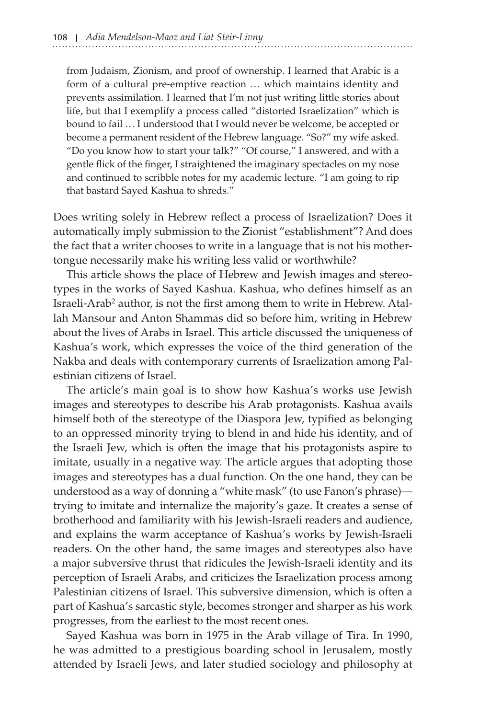from Judaism, Zionism, and proof of ownership. I learned that Arabic is a form of a cultural pre-emptive reaction … which maintains identity and prevents assimilation. I learned that I'm not just writing little stories about life, but that I exemplify a process called "distorted Israelization" which is bound to fail … I understood that I would never be welcome, be accepted or become a permanent resident of the Hebrew language. "So?" my wife asked. "Do you know how to start your talk?" "Of course," I answered, and with a gentle flick of the finger, I straightened the imaginary spectacles on my nose and continued to scribble notes for my academic lecture. "I am going to rip that bastard Sayed Kashua to shreds."

Does writing solely in Hebrew reflect a process of Israelization? Does it automatically imply submission to the Zionist "establishment"? And does the fact that a writer chooses to write in a language that is not his mothertongue necessarily make his writing less valid or worthwhile?

This article shows the place of Hebrew and Jewish images and stereotypes in the works of Sayed Kashua. Kashua, who defines himself as an Israeli-Arab<sup>2</sup> author, is not the first among them to write in Hebrew. Atallah Mansour and Anton Shammas did so before him, writing in Hebrew about the lives of Arabs in Israel. This article discussed the uniqueness of Kashua's work, which expresses the voice of the third generation of the Nakba and deals with contemporary currents of Israelization among Palestinian citizens of Israel.

The article's main goal is to show how Kashua's works use Jewish images and stereotypes to describe his Arab protagonists. Kashua avails himself both of the stereotype of the Diaspora Jew, typified as belonging to an oppressed minority trying to blend in and hide his identity, and of the Israeli Jew, which is often the image that his protagonists aspire to imitate, usually in a negative way. The article argues that adopting those images and stereotypes has a dual function. On the one hand, they can be understood as a way of donning a "white mask" (to use Fanon's phrase) trying to imitate and internalize the majority's gaze. It creates a sense of brotherhood and familiarity with his Jewish-Israeli readers and audience, and explains the warm acceptance of Kashua's works by Jewish-Israeli readers. On the other hand, the same images and stereotypes also have a major subversive thrust that ridicules the Jewish-Israeli identity and its perception of Israeli Arabs, and criticizes the Israelization process among Palestinian citizens of Israel. This subversive dimension, which is often a part of Kashua's sarcastic style, becomes stronger and sharper as his work progresses, from the earliest to the most recent ones.

Sayed Kashua was born in 1975 in the Arab village of Tira. In 1990, he was admitted to a prestigious boarding school in Jerusalem, mostly attended by Israeli Jews, and later studied sociology and philosophy at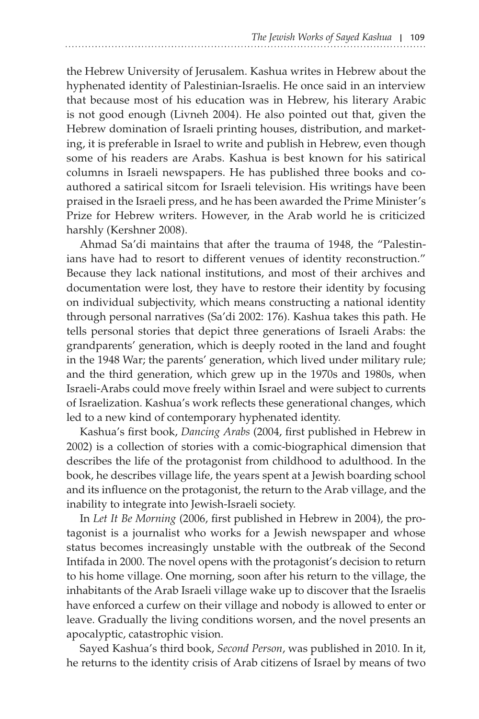the Hebrew University of Jerusalem. Kashua writes in Hebrew about the hyphenated identity of Palestinian-Israelis. He once said in an interview that because most of his education was in Hebrew, his literary Arabic is not good enough (Livneh 2004). He also pointed out that, given the Hebrew domination of Israeli printing houses, distribution, and marketing, it is preferable in Israel to write and publish in Hebrew, even though some of his readers are Arabs. Kashua is best known for his satirical columns in Israeli newspapers. He has published three books and coauthored a satirical sitcom for Israeli television. His writings have been praised in the Israeli press, and he has been awarded the Prime Minister's Prize for Hebrew writers. However, in the Arab world he is criticized harshly (Kershner 2008).

Ahmad Sa'di maintains that after the trauma of 1948, the "Palestinians have had to resort to different venues of identity reconstruction." Because they lack national institutions, and most of their archives and documentation were lost, they have to restore their identity by focusing on individual subjectivity, which means constructing a national identity through personal narratives (Sa'di 2002: 176). Kashua takes this path. He tells personal stories that depict three generations of Israeli Arabs: the grandparents' generation, which is deeply rooted in the land and fought in the 1948 War; the parents' generation, which lived under military rule; and the third generation, which grew up in the 1970s and 1980s, when Israeli-Arabs could move freely within Israel and were subject to currents of Israelization. Kashua's work reflects these generational changes, which led to a new kind of contemporary hyphenated identity.

Kashua's first book, *Dancing Arabs* (2004, first published in Hebrew in 2002) is a collection of stories with a comic-biographical dimension that describes the life of the protagonist from childhood to adulthood. In the book, he describes village life, the years spent at a Jewish boarding school and its influence on the protagonist, the return to the Arab village, and the inability to integrate into Jewish-Israeli society.

In *Let It Be Morning* (2006, first published in Hebrew in 2004), the protagonist is a journalist who works for a Jewish newspaper and whose status becomes increasingly unstable with the outbreak of the Second Intifada in 2000. The novel opens with the protagonist's decision to return to his home village. One morning, soon after his return to the village, the inhabitants of the Arab Israeli village wake up to discover that the Israelis have enforced a curfew on their village and nobody is allowed to enter or leave. Gradually the living conditions worsen, and the novel presents an apocalyptic, catastrophic vision.

Sayed Kashua's third book, *Second Person*, was published in 2010. In it, he returns to the identity crisis of Arab citizens of Israel by means of two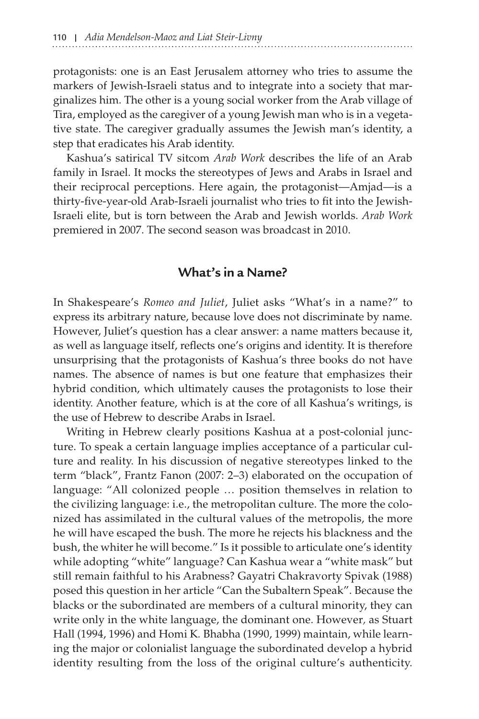protagonists: one is an East Jerusalem attorney who tries to assume the markers of Jewish-Israeli status and to integrate into a society that marginalizes him. The other is a young social worker from the Arab village of Tira, employed as the caregiver of a young Jewish man who is in a vegetative state. The caregiver gradually assumes the Jewish man's identity, a step that eradicates his Arab identity.

Kashua's satirical TV sitcom *Arab Work* describes the life of an Arab family in Israel. It mocks the stereotypes of Jews and Arabs in Israel and their reciprocal perceptions. Here again, the protagonist—Amjad—is a thirty-five-year-old Arab-Israeli journalist who tries to fit into the Jewish-Israeli elite, but is torn between the Arab and Jewish worlds. *Arab Work* premiered in 2007. The second season was broadcast in 2010.

## **What's in a Name?**

In Shakespeare's *Romeo and Juliet*, Juliet asks "What's in a name?" to express its arbitrary nature, because love does not discriminate by name. However, Juliet's question has a clear answer: a name matters because it, as well as language itself, reflects one's origins and identity. It is therefore unsurprising that the protagonists of Kashua's three books do not have names. The absence of names is but one feature that emphasizes their hybrid condition, which ultimately causes the protagonists to lose their identity. Another feature, which is at the core of all Kashua's writings, is the use of Hebrew to describe Arabs in Israel.

Writing in Hebrew clearly positions Kashua at a post-colonial juncture. To speak a certain language implies acceptance of a particular culture and reality. In his discussion of negative stereotypes linked to the term "black", Frantz Fanon (2007: 2–3) elaborated on the occupation of language: "All colonized people … position themselves in relation to the civilizing language: i.e., the metropolitan culture. The more the colonized has assimilated in the cultural values of the metropolis, the more he will have escaped the bush. The more he rejects his blackness and the bush, the whiter he will become." Is it possible to articulate one's identity while adopting "white" language? Can Kashua wear a "white mask" but still remain faithful to his Arabness? Gayatri Chakravorty Spivak (1988) posed this question in her article "Can the Subaltern Speak". Because the blacks or the subordinated are members of a cultural minority, they can write only in the white language, the dominant one. However*,* as Stuart Hall (1994, 1996) and Homi K*.* Bhabha (1990, 1999) maintain, while learning the major or colonialist language the subordinated develop a hybrid identity resulting from the loss of the original culture's authenticity.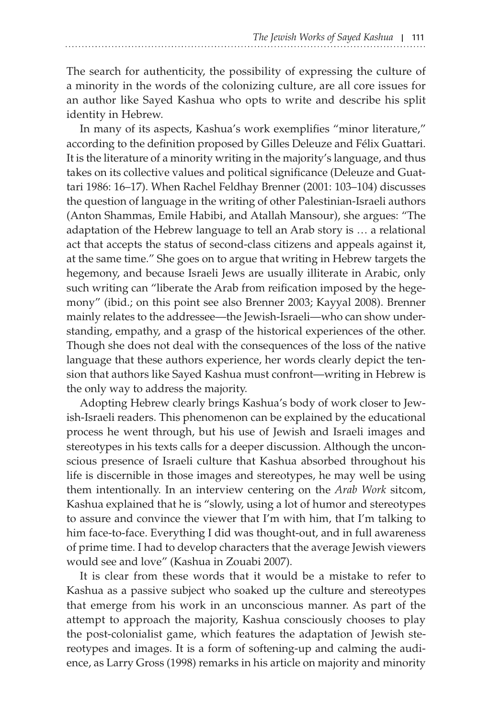The search for authenticity, the possibility of expressing the culture of a minority in the words of the colonizing culture, are all core issues for an author like Sayed Kashua who opts to write and describe his split identity in Hebrew.

In many of its aspects, Kashua's work exemplifies "minor literature," according to the definition proposed by Gilles Deleuze and Félix Guattari. It is the literature of a minority writing in the majority's language, and thus takes on its collective values and political significance (Deleuze and Guattari 1986: 16–17). When Rachel Feldhay Brenner (2001: 103–104) discusses the question of language in the writing of other Palestinian-Israeli authors (Anton Shammas, Emile Habibi, and Atallah Mansour), she argues: "The adaptation of the Hebrew language to tell an Arab story is … a relational act that accepts the status of second-class citizens and appeals against it, at the same time." She goes on to argue that writing in Hebrew targets the hegemony, and because Israeli Jews are usually illiterate in Arabic, only such writing can "liberate the Arab from reification imposed by the hegemony" (ibid.; on this point see also Brenner 2003; Kayyal 2008). Brenner mainly relates to the addressee—the Jewish-Israeli—who can show understanding, empathy, and a grasp of the historical experiences of the other. Though she does not deal with the consequences of the loss of the native language that these authors experience, her words clearly depict the tension that authors like Sayed Kashua must confront—writing in Hebrew is the only way to address the majority.

Adopting Hebrew clearly brings Kashua's body of work closer to Jewish-Israeli readers. This phenomenon can be explained by the educational process he went through, but his use of Jewish and Israeli images and stereotypes in his texts calls for a deeper discussion. Although the unconscious presence of Israeli culture that Kashua absorbed throughout his life is discernible in those images and stereotypes, he may well be using them intentionally. In an interview centering on the *Arab Work* sitcom, Kashua explained that he is "slowly, using a lot of humor and stereotypes to assure and convince the viewer that I'm with him, that I'm talking to him face-to-face. Everything I did was thought-out, and in full awareness of prime time. I had to develop characters that the average Jewish viewers would see and love" (Kashua in Zouabi 2007).

It is clear from these words that it would be a mistake to refer to Kashua as a passive subject who soaked up the culture and stereotypes that emerge from his work in an unconscious manner. As part of the attempt to approach the majority, Kashua consciously chooses to play the post-colonialist game, which features the adaptation of Jewish stereotypes and images. It is a form of softening-up and calming the audience, as Larry Gross (1998) remarks in his article on majority and minority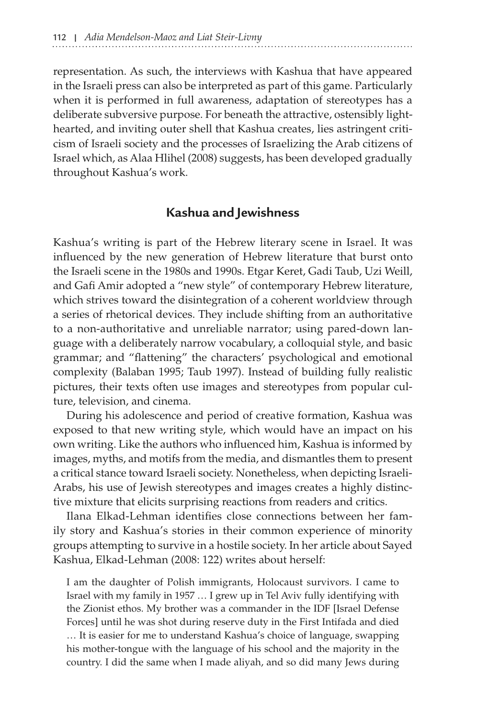representation. As such, the interviews with Kashua that have appeared in the Israeli press can also be interpreted as part of this game. Particularly when it is performed in full awareness, adaptation of stereotypes has a deliberate subversive purpose. For beneath the attractive, ostensibly lighthearted, and inviting outer shell that Kashua creates, lies astringent criticism of Israeli society and the processes of Israelizing the Arab citizens of Israel which, as Alaa Hlihel (2008) suggests, has been developed gradually throughout Kashua's work.

## **Kashua and Jewishness**

Kashua's writing is part of the Hebrew literary scene in Israel. It was influenced by the new generation of Hebrew literature that burst onto the Israeli scene in the 1980s and 1990s. Etgar Keret, Gadi Taub, Uzi Weill, and Gafi Amir adopted a "new style" of contemporary Hebrew literature, which strives toward the disintegration of a coherent worldview through a series of rhetorical devices. They include shifting from an authoritative to a non-authoritative and unreliable narrator; using pared-down language with a deliberately narrow vocabulary, a colloquial style, and basic grammar; and "flattening" the characters' psychological and emotional complexity (Balaban 1995; Taub 1997). Instead of building fully realistic pictures, their texts often use images and stereotypes from popular culture, television, and cinema.

During his adolescence and period of creative formation, Kashua was exposed to that new writing style, which would have an impact on his own writing. Like the authors who influenced him, Kashua is informed by images, myths, and motifs from the media, and dismantles them to present a critical stance toward Israeli society. Nonetheless, when depicting Israeli-Arabs, his use of Jewish stereotypes and images creates a highly distinctive mixture that elicits surprising reactions from readers and critics.

Ilana Elkad-Lehman identifies close connections between her family story and Kashua's stories in their common experience of minority groups attempting to survive in a hostile society. In her article about Sayed Kashua, Elkad-Lehman (2008: 122) writes about herself:

I am the daughter of Polish immigrants, Holocaust survivors. I came to Israel with my family in 1957 … I grew up in Tel Aviv fully identifying with the Zionist ethos. My brother was a commander in the IDF [Israel Defense Forces] until he was shot during reserve duty in the First Intifada and died … It is easier for me to understand Kashua's choice of language, swapping his mother-tongue with the language of his school and the majority in the country. I did the same when I made aliyah, and so did many Jews during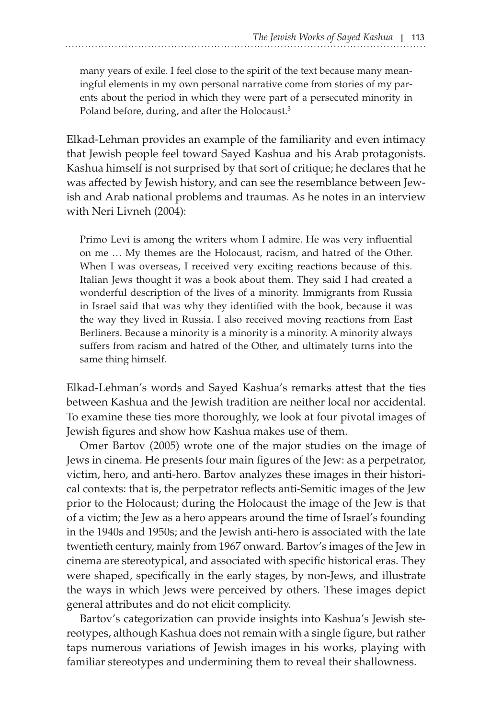many years of exile. I feel close to the spirit of the text because many meaningful elements in my own personal narrative come from stories of my parents about the period in which they were part of a persecuted minority in Poland before, during, and after the Holocaust.<sup>3</sup>

Elkad-Lehman provides an example of the familiarity and even intimacy that Jewish people feel toward Sayed Kashua and his Arab protagonists. Kashua himself is not surprised by that sort of critique; he declares that he was affected by Jewish history, and can see the resemblance between Jewish and Arab national problems and traumas. As he notes in an interview with Neri Livneh (2004):

Primo Levi is among the writers whom I admire. He was very influential on me … My themes are the Holocaust, racism, and hatred of the Other. When I was overseas, I received very exciting reactions because of this. Italian Jews thought it was a book about them. They said I had created a wonderful description of the lives of a minority. Immigrants from Russia in Israel said that was why they identified with the book, because it was the way they lived in Russia. I also received moving reactions from East Berliners. Because a minority is a minority is a minority. A minority always suffers from racism and hatred of the Other, and ultimately turns into the same thing himself.

Elkad-Lehman's words and Sayed Kashua's remarks attest that the ties between Kashua and the Jewish tradition are neither local nor accidental. To examine these ties more thoroughly, we look at four pivotal images of Jewish figures and show how Kashua makes use of them.

Omer Bartov (2005) wrote one of the major studies on the image of Jews in cinema. He presents four main figures of the Jew: as a perpetrator, victim, hero, and anti-hero. Bartov analyzes these images in their historical contexts: that is, the perpetrator reflects anti-Semitic images of the Jew prior to the Holocaust; during the Holocaust the image of the Jew is that of a victim; the Jew as a hero appears around the time of Israel's founding in the 1940s and 1950s; and the Jewish anti-hero is associated with the late twentieth century, mainly from 1967 onward. Bartov's images of the Jew in cinema are stereotypical, and associated with specific historical eras. They were shaped, specifically in the early stages, by non-Jews, and illustrate the ways in which Jews were perceived by others. These images depict general attributes and do not elicit complicity.

Bartov's categorization can provide insights into Kashua's Jewish stereotypes, although Kashua does not remain with a single figure, but rather taps numerous variations of Jewish images in his works, playing with familiar stereotypes and undermining them to reveal their shallowness.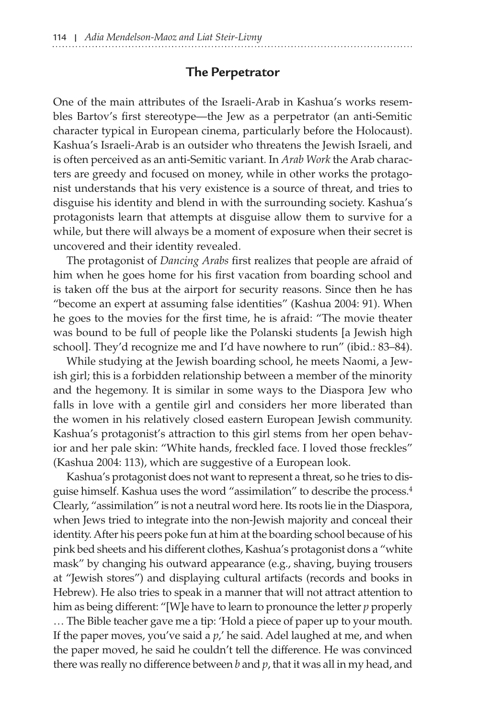#### **The Perpetrator**

One of the main attributes of the Israeli-Arab in Kashua's works resembles Bartov's first stereotype—the Jew as a perpetrator (an anti-Semitic character typical in European cinema, particularly before the Holocaust). Kashua's Israeli-Arab is an outsider who threatens the Jewish Israeli, and is often perceived as an anti-Semitic variant. In *Arab Work* the Arab characters are greedy and focused on money, while in other works the protagonist understands that his very existence is a source of threat, and tries to disguise his identity and blend in with the surrounding society. Kashua's protagonists learn that attempts at disguise allow them to survive for a while, but there will always be a moment of exposure when their secret is uncovered and their identity revealed.

The protagonist of *Dancing Arabs* first realizes that people are afraid of him when he goes home for his first vacation from boarding school and is taken off the bus at the airport for security reasons. Since then he has "become an expert at assuming false identities" (Kashua 2004: 91). When he goes to the movies for the first time, he is afraid: "The movie theater was bound to be full of people like the Polanski students [a Jewish high school]. They'd recognize me and I'd have nowhere to run" (ibid.: 83–84).

While studying at the Jewish boarding school, he meets Naomi, a Jewish girl; this is a forbidden relationship between a member of the minority and the hegemony. It is similar in some ways to the Diaspora Jew who falls in love with a gentile girl and considers her more liberated than the women in his relatively closed eastern European Jewish community. Kashua's protagonist's attraction to this girl stems from her open behavior and her pale skin: "White hands, freckled face. I loved those freckles" (Kashua 2004: 113), which are suggestive of a European look.

Kashua's protagonist does not want to represent a threat, so he tries to disguise himself. Kashua uses the word "assimilation" to describe the process.4 Clearly, "assimilation" is not a neutral word here. Its roots lie in the Diaspora, when Jews tried to integrate into the non-Jewish majority and conceal their identity. After his peers poke fun at him at the boarding school because of his pink bed sheets and his different clothes, Kashua's protagonist dons a "white mask" by changing his outward appearance (e.g., shaving, buying trousers at "Jewish stores") and displaying cultural artifacts (records and books in Hebrew). He also tries to speak in a manner that will not attract attention to him as being different: "[W]e have to learn to pronounce the letter *p* properly … The Bible teacher gave me a tip: 'Hold a piece of paper up to your mouth. If the paper moves, you've said a *p*,' he said. Adel laughed at me, and when the paper moved, he said he couldn't tell the difference. He was convinced there was really no difference between *b* and *p*, that it was all in my head, and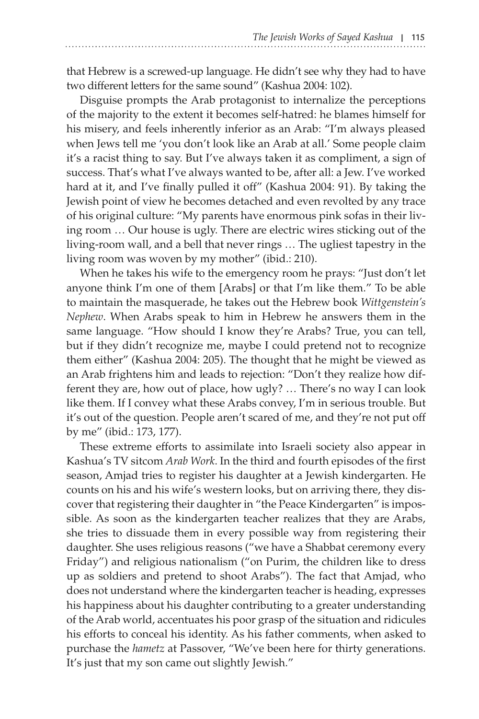that Hebrew is a screwed-up language. He didn't see why they had to have two different letters for the same sound" (Kashua 2004: 102).

Disguise prompts the Arab protagonist to internalize the perceptions of the majority to the extent it becomes self-hatred: he blames himself for his misery, and feels inherently inferior as an Arab: "I'm always pleased when Jews tell me 'you don't look like an Arab at all.' Some people claim it's a racist thing to say. But I've always taken it as compliment, a sign of success. That's what I've always wanted to be, after all: a Jew. I've worked hard at it, and I've finally pulled it off" (Kashua 2004: 91). By taking the Jewish point of view he becomes detached and even revolted by any trace of his original culture: "My parents have enormous pink sofas in their living room … Our house is ugly. There are electric wires sticking out of the living-room wall, and a bell that never rings … The ugliest tapestry in the living room was woven by my mother" (ibid.: 210).

When he takes his wife to the emergency room he prays: "Just don't let anyone think I'm one of them [Arabs] or that I'm like them." To be able to maintain the masquerade, he takes out the Hebrew book *Wittgenstein's Nephew*. When Arabs speak to him in Hebrew he answers them in the same language. "How should I know they're Arabs? True, you can tell, but if they didn't recognize me, maybe I could pretend not to recognize them either" (Kashua 2004: 205). The thought that he might be viewed as an Arab frightens him and leads to rejection: "Don't they realize how different they are, how out of place, how ugly? … There's no way I can look like them. If I convey what these Arabs convey, I'm in serious trouble. But it's out of the question. People aren't scared of me, and they're not put off by me" (ibid.: 173, 177).

These extreme efforts to assimilate into Israeli society also appear in Kashua's TV sitcom *Arab Work*. In the third and fourth episodes of the first season, Amjad tries to register his daughter at a Jewish kindergarten. He counts on his and his wife's western looks, but on arriving there, they discover that registering their daughter in "the Peace Kindergarten" is impossible. As soon as the kindergarten teacher realizes that they are Arabs, she tries to dissuade them in every possible way from registering their daughter. She uses religious reasons ("we have a Shabbat ceremony every Friday") and religious nationalism ("on Purim, the children like to dress up as soldiers and pretend to shoot Arabs"). The fact that Amjad, who does not understand where the kindergarten teacher is heading, expresses his happiness about his daughter contributing to a greater understanding of the Arab world, accentuates his poor grasp of the situation and ridicules his efforts to conceal his identity. As his father comments, when asked to purchase the *hametz* at Passover, "We've been here for thirty generations. It's just that my son came out slightly Jewish."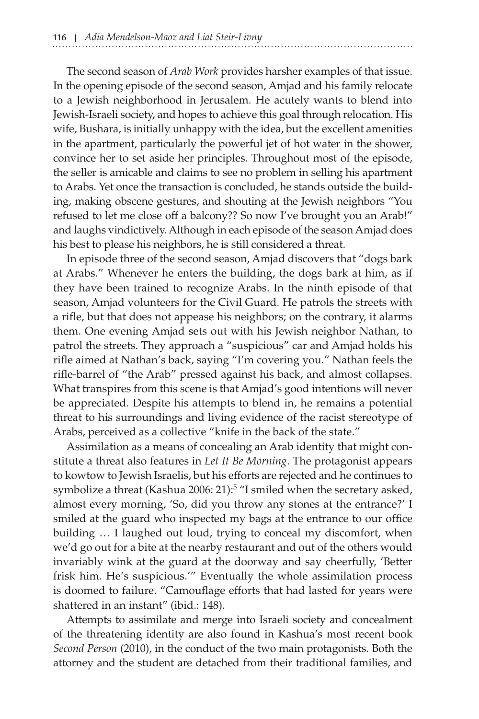The second season of *Arab Work* provides harsher examples of that issue. In the opening episode of the second season, Amjad and his family relocate to a Jewish neighborhood in Jerusalem. He acutely wants to blend into Jewish-Israeli society, and hopes to achieve this goal through relocation. His wife, Bushara, is initially unhappy with the idea, but the excellent amenities in the apartment, particularly the powerful jet of hot water in the shower, convince her to set aside her principles. Throughout most of the episode, the seller is amicable and claims to see no problem in selling his apartment to Arabs. Yet once the transaction is concluded, he stands outside the building, making obscene gestures, and shouting at the Jewish neighbors "You refused to let me close off a balcony?? So now I've brought you an Arab!" and laughs vindictively. Although in each episode of the season Amjad does his best to please his neighbors, he is still considered a threat.

In episode three of the second season, Amjad discovers that "dogs bark at Arabs." Whenever he enters the building, the dogs bark at him, as if they have been trained to recognize Arabs. In the ninth episode of that season, Amjad volunteers for the Civil Guard. He patrols the streets with a rifle, but that does not appease his neighbors; on the contrary, it alarms them. One evening Amjad sets out with his Jewish neighbor Nathan, to patrol the streets. They approach a "suspicious" car and Amjad holds his rifle aimed at Nathan's back, saying "I'm covering you." Nathan feels the rifle-barrel of "the Arab" pressed against his back, and almost collapses. What transpires from this scene is that Amjad's good intentions will never be appreciated. Despite his attempts to blend in, he remains a potential threat to his surroundings and living evidence of the racist stereotype of Arabs, perceived as a collective "knife in the back of the state."

Assimilation as a means of concealing an Arab identity that might constitute a threat also features in *Let It Be Morning*. The protagonist appears to kowtow to Jewish Israelis, but his efforts are rejected and he continues to symbolize a threat (Kashua 2006: 21):<sup>5</sup> "I smiled when the secretary asked, almost every morning, 'So, did you throw any stones at the entrance?' I smiled at the guard who inspected my bags at the entrance to our office building … I laughed out loud, trying to conceal my discomfort, when we'd go out for a bite at the nearby restaurant and out of the others would invariably wink at the guard at the doorway and say cheerfully, 'Better frisk him. He's suspicious.'" Eventually the whole assimilation process is doomed to failure. "Camouflage efforts that had lasted for years were shattered in an instant" (ibid.: 148).

Attempts to assimilate and merge into Israeli society and concealment of the threatening identity are also found in Kashua's most recent book *Second Person* (2010), in the conduct of the two main protagonists. Both the attorney and the student are detached from their traditional families, and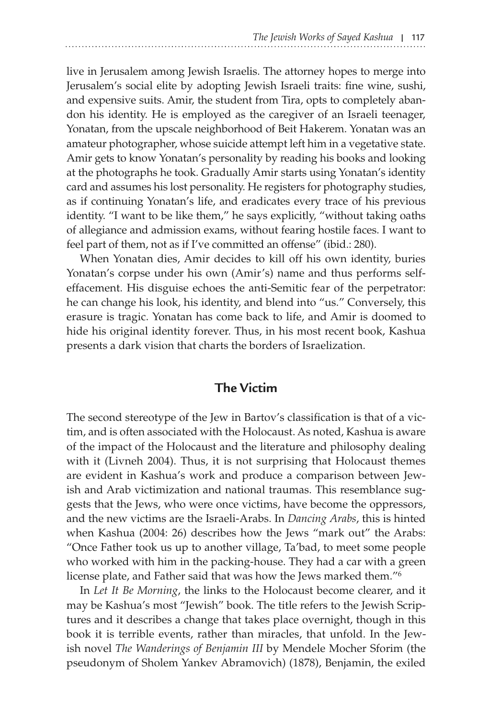live in Jerusalem among Jewish Israelis. The attorney hopes to merge into Jerusalem's social elite by adopting Jewish Israeli traits: fine wine, sushi, and expensive suits. Amir, the student from Tira, opts to completely abandon his identity. He is employed as the caregiver of an Israeli teenager, Yonatan, from the upscale neighborhood of Beit Hakerem. Yonatan was an amateur photographer, whose suicide attempt left him in a vegetative state. Amir gets to know Yonatan's personality by reading his books and looking at the photographs he took. Gradually Amir starts using Yonatan's identity card and assumes his lost personality. He registers for photography studies, as if continuing Yonatan's life, and eradicates every trace of his previous identity. "I want to be like them," he says explicitly, "without taking oaths of allegiance and admission exams, without fearing hostile faces. I want to feel part of them, not as if I've committed an offense" (ibid.: 280).

When Yonatan dies, Amir decides to kill off his own identity, buries Yonatan's corpse under his own (Amir's) name and thus performs selfeffacement. His disguise echoes the anti-Semitic fear of the perpetrator: he can change his look, his identity, and blend into "us." Conversely, this erasure is tragic. Yonatan has come back to life, and Amir is doomed to hide his original identity forever. Thus, in his most recent book, Kashua presents a dark vision that charts the borders of Israelization.

## **The Victim**

The second stereotype of the Jew in Bartov's classification is that of a victim, and is often associated with the Holocaust. As noted, Kashua is aware of the impact of the Holocaust and the literature and philosophy dealing with it (Livneh 2004). Thus, it is not surprising that Holocaust themes are evident in Kashua's work and produce a comparison between Jewish and Arab victimization and national traumas. This resemblance suggests that the Jews, who were once victims, have become the oppressors, and the new victims are the Israeli-Arabs. In *Dancing Arabs*, this is hinted when Kashua (2004: 26) describes how the Jews "mark out" the Arabs: "Once Father took us up to another village, Ta'bad, to meet some people who worked with him in the packing-house. They had a car with a green license plate, and Father said that was how the Jews marked them."6

In *Let It Be Morning*, the links to the Holocaust become clearer, and it may be Kashua's most "Jewish" book. The title refers to the Jewish Scriptures and it describes a change that takes place overnight, though in this book it is terrible events, rather than miracles, that unfold. In the Jewish novel *The Wanderings of Benjamin III* by Mendele Mocher Sforim (the pseudonym of Sholem Yankev Abramovich) (1878), Benjamin, the exiled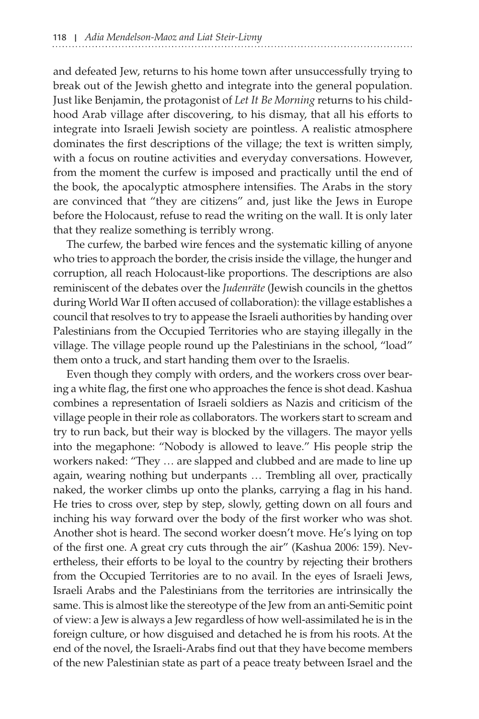and defeated Jew, returns to his home town after unsuccessfully trying to break out of the Jewish ghetto and integrate into the general population. Just like Benjamin, the protagonist of *Let It Be Morning* returns to his childhood Arab village after discovering, to his dismay, that all his efforts to integrate into Israeli Jewish society are pointless. A realistic atmosphere dominates the first descriptions of the village; the text is written simply, with a focus on routine activities and everyday conversations. However, from the moment the curfew is imposed and practically until the end of the book, the apocalyptic atmosphere intensifies. The Arabs in the story are convinced that "they are citizens" and, just like the Jews in Europe before the Holocaust, refuse to read the writing on the wall. It is only later that they realize something is terribly wrong.

The curfew, the barbed wire fences and the systematic killing of anyone who tries to approach the border, the crisis inside the village, the hunger and corruption, all reach Holocaust-like proportions. The descriptions are also reminiscent of the debates over the *Judenräte* (Jewish councils in the ghettos during World War II often accused of collaboration): the village establishes a council that resolves to try to appease the Israeli authorities by handing over Palestinians from the Occupied Territories who are staying illegally in the village. The village people round up the Palestinians in the school, "load" them onto a truck, and start handing them over to the Israelis.

Even though they comply with orders, and the workers cross over bearing a white flag, the first one who approaches the fence is shot dead. Kashua combines a representation of Israeli soldiers as Nazis and criticism of the village people in their role as collaborators. The workers start to scream and try to run back, but their way is blocked by the villagers. The mayor yells into the megaphone: "Nobody is allowed to leave." His people strip the workers naked: "They … are slapped and clubbed and are made to line up again, wearing nothing but underpants … Trembling all over, practically naked, the worker climbs up onto the planks, carrying a flag in his hand. He tries to cross over, step by step, slowly, getting down on all fours and inching his way forward over the body of the first worker who was shot. Another shot is heard. The second worker doesn't move. He's lying on top of the first one. A great cry cuts through the air" (Kashua 2006: 159). Nevertheless, their efforts to be loyal to the country by rejecting their brothers from the Occupied Territories are to no avail. In the eyes of Israeli Jews, Israeli Arabs and the Palestinians from the territories are intrinsically the same. This is almost like the stereotype of the Jew from an anti-Semitic point of view: a Jew is always a Jew regardless of how well-assimilated he is in the foreign culture, or how disguised and detached he is from his roots. At the end of the novel, the Israeli-Arabs find out that they have become members of the new Palestinian state as part of a peace treaty between Israel and the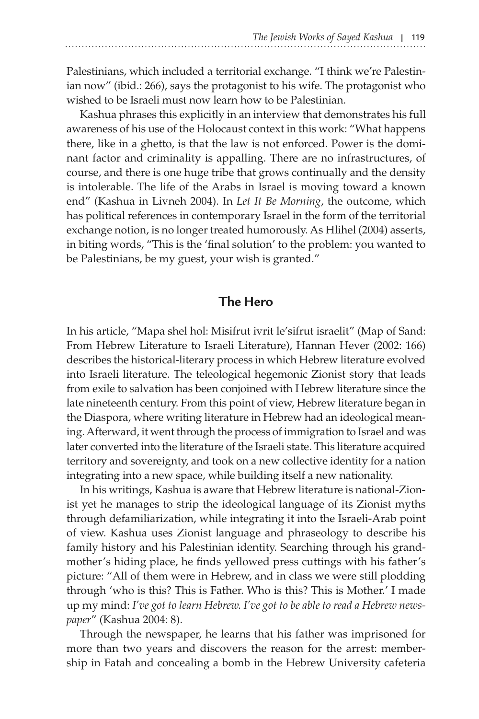Palestinians, which included a territorial exchange. "I think we're Palestinian now" (ibid.: 266), says the protagonist to his wife. The protagonist who wished to be Israeli must now learn how to be Palestinian.

Kashua phrases this explicitly in an interview that demonstrates his full awareness of his use of the Holocaust context in this work: "What happens there, like in a ghetto, is that the law is not enforced. Power is the dominant factor and criminality is appalling. There are no infrastructures, of course, and there is one huge tribe that grows continually and the density is intolerable. The life of the Arabs in Israel is moving toward a known end" (Kashua in Livneh 2004). In *Let It Be Morning*, the outcome, which has political references in contemporary Israel in the form of the territorial exchange notion, is no longer treated humorously. As Hlihel (2004) asserts, in biting words, "This is the 'final solution' to the problem: you wanted to be Palestinians, be my guest, your wish is granted."

#### **The Hero**

In his article, "Mapa shel hol: Misifrut ivrit le'sifrut israelit" (Map of Sand: From Hebrew Literature to Israeli Literature), Hannan Hever (2002: 166) describes the historical-literary process in which Hebrew literature evolved into Israeli literature. The teleological hegemonic Zionist story that leads from exile to salvation has been conjoined with Hebrew literature since the late nineteenth century. From this point of view, Hebrew literature began in the Diaspora, where writing literature in Hebrew had an ideological meaning. Afterward, it went through the process of immigration to Israel and was later converted into the literature of the Israeli state. This literature acquired territory and sovereignty, and took on a new collective identity for a nation integrating into a new space, while building itself a new nationality.

In his writings, Kashua is aware that Hebrew literature is national-Zionist yet he manages to strip the ideological language of its Zionist myths through defamiliarization, while integrating it into the Israeli-Arab point of view. Kashua uses Zionist language and phraseology to describe his family history and his Palestinian identity. Searching through his grandmother's hiding place, he finds yellowed press cuttings with his father's picture: "All of them were in Hebrew, and in class we were still plodding through 'who is this? This is Father. Who is this? This is Mother.' I made up my mind: *I've got to learn Hebrew. I've got to be able to read a Hebrew newspaper*" (Kashua 2004: 8).

Through the newspaper, he learns that his father was imprisoned for more than two years and discovers the reason for the arrest: membership in Fatah and concealing a bomb in the Hebrew University cafeteria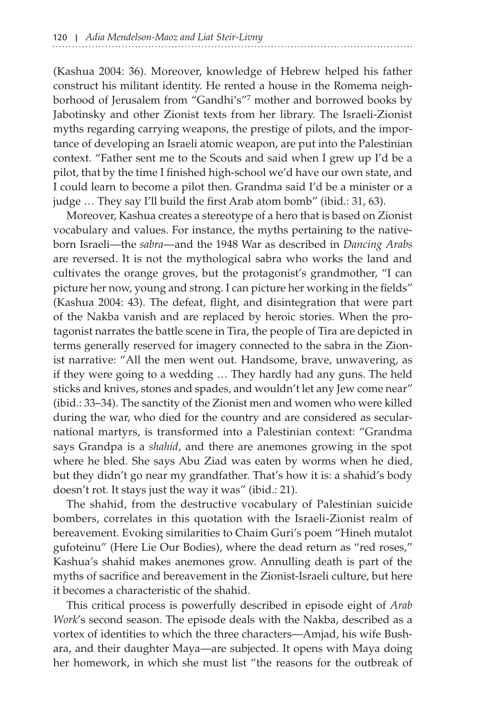(Kashua 2004: 36). Moreover, knowledge of Hebrew helped his father construct his militant identity. He rented a house in the Romema neighborhood of Jerusalem from "Gandhi's"7 mother and borrowed books by Jabotinsky and other Zionist texts from her library. The Israeli-Zionist myths regarding carrying weapons, the prestige of pilots, and the importance of developing an Israeli atomic weapon, are put into the Palestinian context. "Father sent me to the Scouts and said when I grew up I'd be a pilot, that by the time I finished high-school we'd have our own state, and I could learn to become a pilot then. Grandma said I'd be a minister or a judge … They say I'll build the first Arab atom bomb" (ibid.: 31, 63).

Moreover, Kashua creates a stereotype of a hero that is based on Zionist vocabulary and values. For instance, the myths pertaining to the nativeborn Israeli—the *sabra*—and the 1948 War as described in *Dancing Arabs* are reversed. It is not the mythological sabra who works the land and cultivates the orange groves, but the protagonist's grandmother, "I can picture her now, young and strong. I can picture her working in the fields" (Kashua 2004: 43). The defeat, flight, and disintegration that were part of the Nakba vanish and are replaced by heroic stories. When the protagonist narrates the battle scene in Tira, the people of Tira are depicted in terms generally reserved for imagery connected to the sabra in the Zionist narrative: "All the men went out. Handsome, brave, unwavering, as if they were going to a wedding … They hardly had any guns. The held sticks and knives, stones and spades, and wouldn't let any Jew come near" (ibid.: 33–34). The sanctity of the Zionist men and women who were killed during the war, who died for the country and are considered as secularnational martyrs, is transformed into a Palestinian context: "Grandma says Grandpa is a *shahid*, and there are anemones growing in the spot where he bled. She says Abu Ziad was eaten by worms when he died, but they didn't go near my grandfather. That's how it is: a shahid's body doesn't rot. It stays just the way it was" (ibid.: 21).

The shahid, from the destructive vocabulary of Palestinian suicide bombers, correlates in this quotation with the Israeli-Zionist realm of bereavement. Evoking similarities to Chaim Guri's poem "Hineh mutalot gufoteinu" (Here Lie Our Bodies), where the dead return as "red roses," Kashua's shahid makes anemones grow. Annulling death is part of the myths of sacrifice and bereavement in the Zionist-Israeli culture, but here it becomes a characteristic of the shahid.

This critical process is powerfully described in episode eight of *Arab Work*'s second season. The episode deals with the Nakba, described as a vortex of identities to which the three characters—Amjad, his wife Bushara, and their daughter Maya—are subjected. It opens with Maya doing her homework, in which she must list "the reasons for the outbreak of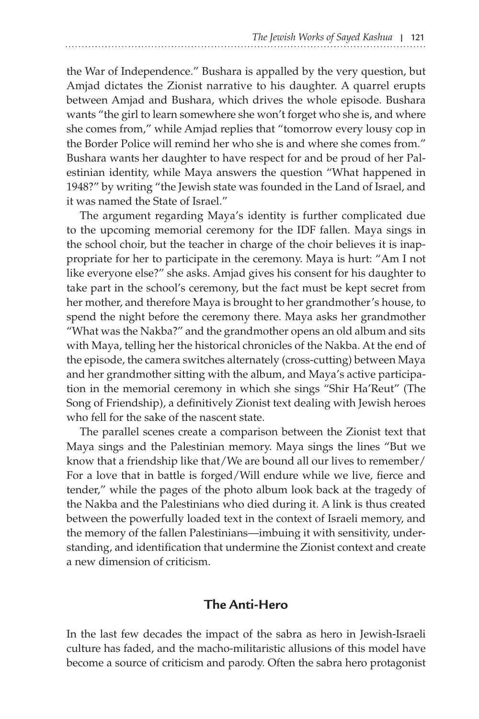the War of Independence." Bushara is appalled by the very question, but Amjad dictates the Zionist narrative to his daughter. A quarrel erupts between Amjad and Bushara, which drives the whole episode. Bushara wants "the girl to learn somewhere she won't forget who she is, and where she comes from," while Amjad replies that "tomorrow every lousy cop in the Border Police will remind her who she is and where she comes from." Bushara wants her daughter to have respect for and be proud of her Palestinian identity, while Maya answers the question "What happened in 1948?" by writing "the Jewish state was founded in the Land of Israel, and it was named the State of Israel."

The argument regarding Maya's identity is further complicated due to the upcoming memorial ceremony for the IDF fallen. Maya sings in the school choir, but the teacher in charge of the choir believes it is inappropriate for her to participate in the ceremony. Maya is hurt: "Am I not like everyone else?" she asks. Amjad gives his consent for his daughter to take part in the school's ceremony, but the fact must be kept secret from her mother, and therefore Maya is brought to her grandmother's house, to spend the night before the ceremony there. Maya asks her grandmother "What was the Nakba?" and the grandmother opens an old album and sits with Maya, telling her the historical chronicles of the Nakba. At the end of the episode, the camera switches alternately (cross-cutting) between Maya and her grandmother sitting with the album, and Maya's active participation in the memorial ceremony in which she sings "Shir Ha'Reut" (The Song of Friendship), a definitively Zionist text dealing with Jewish heroes who fell for the sake of the nascent state.

The parallel scenes create a comparison between the Zionist text that Maya sings and the Palestinian memory. Maya sings the lines "But we know that a friendship like that/We are bound all our lives to remember/ For a love that in battle is forged/Will endure while we live, fierce and tender," while the pages of the photo album look back at the tragedy of the Nakba and the Palestinians who died during it. A link is thus created between the powerfully loaded text in the context of Israeli memory, and the memory of the fallen Palestinians—imbuing it with sensitivity, understanding, and identification that undermine the Zionist context and create a new dimension of criticism.

## **The Anti-Hero**

In the last few decades the impact of the sabra as hero in Jewish-Israeli culture has faded, and the macho-militaristic allusions of this model have become a source of criticism and parody. Often the sabra hero protagonist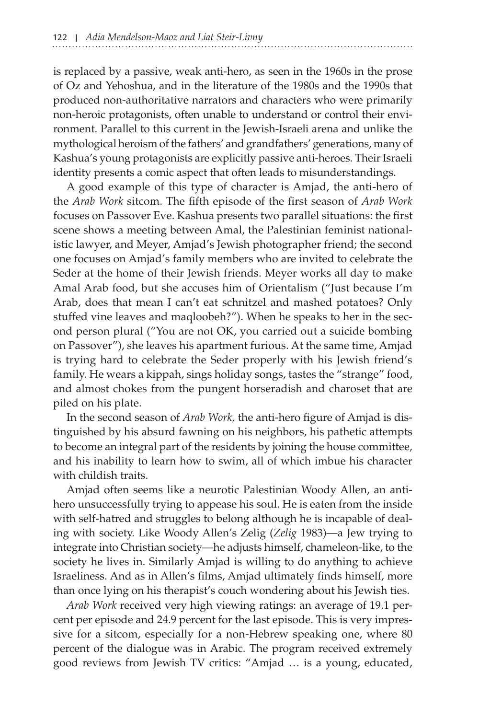is replaced by a passive, weak anti-hero, as seen in the 1960s in the prose of Oz and Yehoshua, and in the literature of the 1980s and the 1990s that produced non-authoritative narrators and characters who were primarily non-heroic protagonists, often unable to understand or control their environment. Parallel to this current in the Jewish-Israeli arena and unlike the mythological heroism of the fathers' and grandfathers' generations, many of Kashua's young protagonists are explicitly passive anti-heroes. Their Israeli identity presents a comic aspect that often leads to misunderstandings.

A good example of this type of character is Amjad, the anti-hero of the *Arab Work* sitcom. The fifth episode of the first season of *Arab Work* focuses on Passover Eve. Kashua presents two parallel situations: the first scene shows a meeting between Amal, the Palestinian feminist nationalistic lawyer, and Meyer, Amjad's Jewish photographer friend; the second one focuses on Amjad's family members who are invited to celebrate the Seder at the home of their Jewish friends. Meyer works all day to make Amal Arab food, but she accuses him of Orientalism ("Just because I'm Arab, does that mean I can't eat schnitzel and mashed potatoes? Only stuffed vine leaves and maqloobeh?"). When he speaks to her in the second person plural ("You are not OK, you carried out a suicide bombing on Passover"), she leaves his apartment furious. At the same time, Amjad is trying hard to celebrate the Seder properly with his Jewish friend's family. He wears a kippah, sings holiday songs, tastes the "strange" food, and almost chokes from the pungent horseradish and charoset that are piled on his plate.

In the second season of *Arab Work,* the anti-hero figure of Amjad is distinguished by his absurd fawning on his neighbors, his pathetic attempts to become an integral part of the residents by joining the house committee, and his inability to learn how to swim, all of which imbue his character with childish traits.

Amjad often seems like a neurotic Palestinian Woody Allen, an antihero unsuccessfully trying to appease his soul. He is eaten from the inside with self-hatred and struggles to belong although he is incapable of dealing with society. Like Woody Allen's Zelig (*Zelig* 1983)—a Jew trying to integrate into Christian society—he adjusts himself, chameleon-like, to the society he lives in. Similarly Amjad is willing to do anything to achieve Israeliness. And as in Allen's films, Amjad ultimately finds himself, more than once lying on his therapist's couch wondering about his Jewish ties.

*Arab Work* received very high viewing ratings: an average of 19.1 percent per episode and 24.9 percent for the last episode. This is very impressive for a sitcom, especially for a non-Hebrew speaking one, where 80 percent of the dialogue was in Arabic. The program received extremely good reviews from Jewish TV critics: "Amjad … is a young, educated,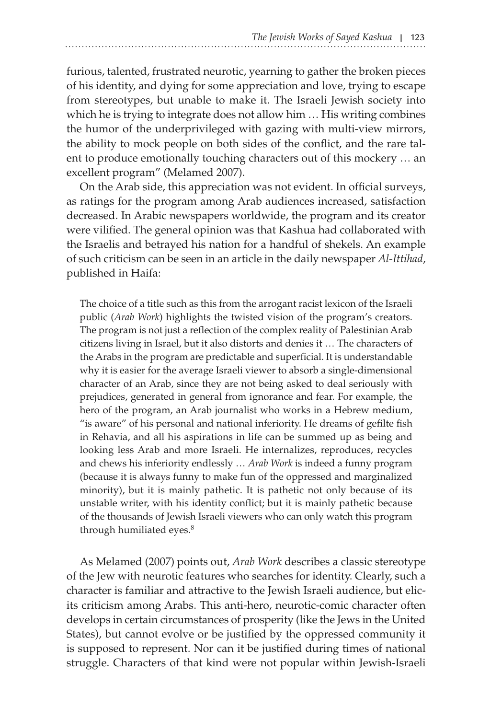furious, talented, frustrated neurotic, yearning to gather the broken pieces of his identity, and dying for some appreciation and love, trying to escape from stereotypes, but unable to make it. The Israeli Jewish society into which he is trying to integrate does not allow him … His writing combines the humor of the underprivileged with gazing with multi-view mirrors, the ability to mock people on both sides of the conflict, and the rare talent to produce emotionally touching characters out of this mockery … an excellent program" (Melamed 2007).

On the Arab side, this appreciation was not evident. In official surveys, as ratings for the program among Arab audiences increased, satisfaction decreased. In Arabic newspapers worldwide, the program and its creator were vilified. The general opinion was that Kashua had collaborated with the Israelis and betrayed his nation for a handful of shekels. An example of such criticism can be seen in an article in the daily newspaper *Al-Ittihad*, published in Haifa:

The choice of a title such as this from the arrogant racist lexicon of the Israeli public (*Arab Work*) highlights the twisted vision of the program's creators. The program is not just a reflection of the complex reality of Palestinian Arab citizens living in Israel, but it also distorts and denies it … The characters of the Arabs in the program are predictable and superficial. It is understandable why it is easier for the average Israeli viewer to absorb a single-dimensional character of an Arab, since they are not being asked to deal seriously with prejudices, generated in general from ignorance and fear. For example, the hero of the program, an Arab journalist who works in a Hebrew medium, "is aware" of his personal and national inferiority. He dreams of gefilte fish in Rehavia, and all his aspirations in life can be summed up as being and looking less Arab and more Israeli. He internalizes, reproduces, recycles and chews his inferiority endlessly … *Arab Work* is indeed a funny program (because it is always funny to make fun of the oppressed and marginalized minority), but it is mainly pathetic. It is pathetic not only because of its unstable writer, with his identity conflict; but it is mainly pathetic because of the thousands of Jewish Israeli viewers who can only watch this program through humiliated eyes.<sup>8</sup>

As Melamed (2007) points out, *Arab Work* describes a classic stereotype of the Jew with neurotic features who searches for identity. Clearly, such a character is familiar and attractive to the Jewish Israeli audience, but elicits criticism among Arabs. This anti-hero, neurotic-comic character often develops in certain circumstances of prosperity (like the Jews in the United States), but cannot evolve or be justified by the oppressed community it is supposed to represent. Nor can it be justified during times of national struggle. Characters of that kind were not popular within Jewish-Israeli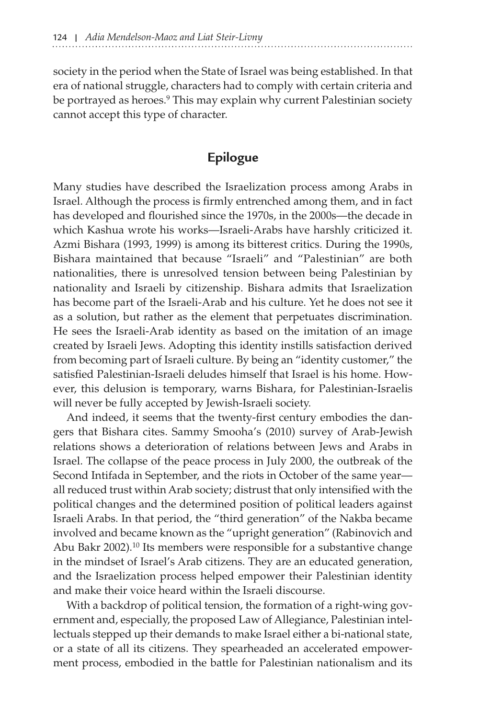society in the period when the State of Israel was being established. In that era of national struggle, characters had to comply with certain criteria and be portrayed as heroes.<sup>9</sup> This may explain why current Palestinian society cannot accept this type of character.

# **Epilogue**

Many studies have described the Israelization process among Arabs in Israel. Although the process is firmly entrenched among them, and in fact has developed and flourished since the 1970s, in the 2000s—the decade in which Kashua wrote his works—Israeli-Arabs have harshly criticized it. Azmi Bishara (1993, 1999) is among its bitterest critics. During the 1990s, Bishara maintained that because "Israeli" and "Palestinian" are both nationalities, there is unresolved tension between being Palestinian by nationality and Israeli by citizenship. Bishara admits that Israelization has become part of the Israeli-Arab and his culture. Yet he does not see it as a solution, but rather as the element that perpetuates discrimination. He sees the Israeli-Arab identity as based on the imitation of an image created by Israeli Jews. Adopting this identity instills satisfaction derived from becoming part of Israeli culture. By being an "identity customer," the satisfied Palestinian-Israeli deludes himself that Israel is his home. However, this delusion is temporary, warns Bishara, for Palestinian-Israelis will never be fully accepted by Jewish-Israeli society.

And indeed, it seems that the twenty-first century embodies the dangers that Bishara cites. Sammy Smooha's (2010) survey of Arab-Jewish relations shows a deterioration of relations between Jews and Arabs in Israel. The collapse of the peace process in July 2000, the outbreak of the Second Intifada in September, and the riots in October of the same year all reduced trust within Arab society; distrust that only intensified with the political changes and the determined position of political leaders against Israeli Arabs. In that period, the "third generation" of the Nakba became involved and became known as the "upright generation" (Rabinovich and Abu Bakr 2002).<sup>10</sup> Its members were responsible for a substantive change in the mindset of Israel's Arab citizens. They are an educated generation, and the Israelization process helped empower their Palestinian identity and make their voice heard within the Israeli discourse.

With a backdrop of political tension, the formation of a right-wing government and, especially, the proposed Law of Allegiance, Palestinian intellectuals stepped up their demands to make Israel either a bi-national state, or a state of all its citizens. They spearheaded an accelerated empowerment process, embodied in the battle for Palestinian nationalism and its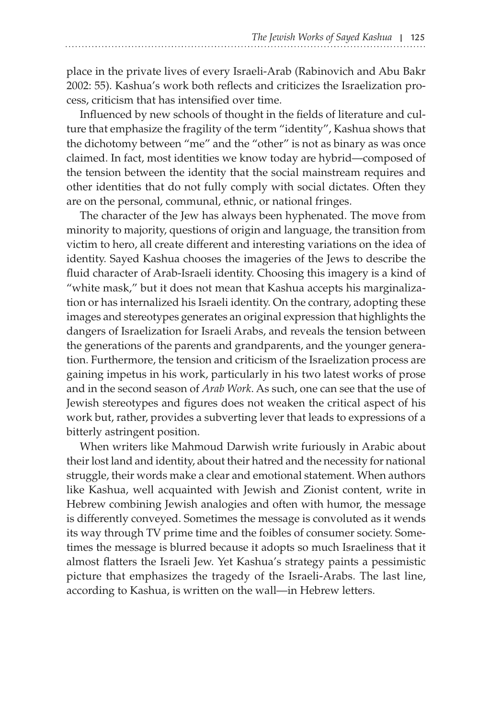place in the private lives of every Israeli-Arab (Rabinovich and Abu Bakr 2002: 55). Kashua's work both reflects and criticizes the Israelization process, criticism that has intensified over time.

Influenced by new schools of thought in the fields of literature and culture that emphasize the fragility of the term "identity", Kashua shows that the dichotomy between "me" and the "other" is not as binary as was once claimed. In fact, most identities we know today are hybrid—composed of the tension between the identity that the social mainstream requires and other identities that do not fully comply with social dictates. Often they are on the personal, communal, ethnic, or national fringes.

The character of the Jew has always been hyphenated. The move from minority to majority, questions of origin and language, the transition from victim to hero, all create different and interesting variations on the idea of identity. Sayed Kashua chooses the imageries of the Jews to describe the fluid character of Arab-Israeli identity. Choosing this imagery is a kind of "white mask," but it does not mean that Kashua accepts his marginalization or has internalized his Israeli identity. On the contrary, adopting these images and stereotypes generates an original expression that highlights the dangers of Israelization for Israeli Arabs, and reveals the tension between the generations of the parents and grandparents, and the younger generation. Furthermore, the tension and criticism of the Israelization process are gaining impetus in his work, particularly in his two latest works of prose and in the second season of *Arab Work*. As such, one can see that the use of Jewish stereotypes and figures does not weaken the critical aspect of his work but, rather, provides a subverting lever that leads to expressions of a bitterly astringent position.

When writers like Mahmoud Darwish write furiously in Arabic about their lost land and identity, about their hatred and the necessity for national struggle, their words make a clear and emotional statement. When authors like Kashua, well acquainted with Jewish and Zionist content, write in Hebrew combining Jewish analogies and often with humor, the message is differently conveyed. Sometimes the message is convoluted as it wends its way through TV prime time and the foibles of consumer society. Sometimes the message is blurred because it adopts so much Israeliness that it almost flatters the Israeli Jew. Yet Kashua's strategy paints a pessimistic picture that emphasizes the tragedy of the Israeli-Arabs. The last line, according to Kashua, is written on the wall—in Hebrew letters.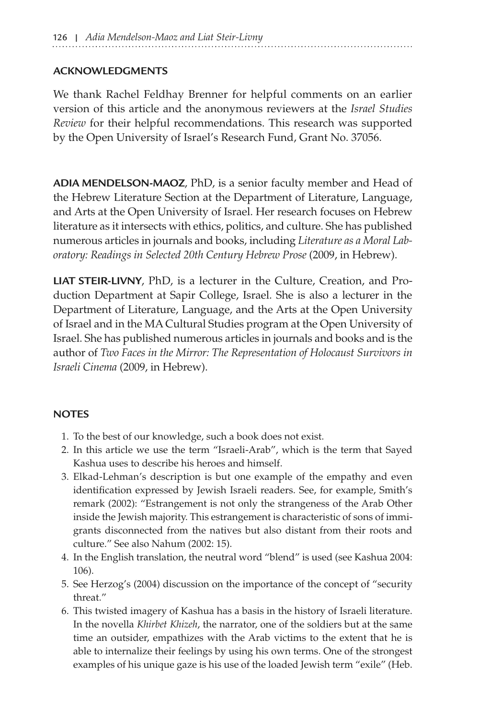#### **Acknowledgments**

We thank Rachel Feldhay Brenner for helpful comments on an earlier version of this article and the anonymous reviewers at the *Israel Studies Review* for their helpful recommendations. This research was supported by the Open University of Israel's Research Fund, Grant No. 37056.

**Adia Mendelson-Maoz**, PhD, is a senior faculty member and Head of the Hebrew Literature Section at the Department of Literature, Language, and Arts at the Open University of Israel. Her research focuses on Hebrew literature as it intersects with ethics, politics, and culture. She has published numerous articles in journals and books, including *Literature as a Moral Laboratory: Readings in Selected 20th Century Hebrew Prose* (2009, in Hebrew).

**Liat Steir-Livny**, PhD, is a lecturer in the Culture, Creation, and Production Department at Sapir College, Israel. She is also a lecturer in the Department of Literature, Language, and the Arts at the Open University of Israel and in the MA Cultural Studies program at the Open University of Israel. She has published numerous articles in journals and books and is the author of *Two Faces in the Mirror: The Representation of Holocaust Survivors in Israeli Cinema* (2009, in Hebrew).

### **Notes**

- 1. To the best of our knowledge, such a book does not exist.
- 2. In this article we use the term "Israeli-Arab", which is the term that Sayed Kashua uses to describe his heroes and himself.
- 3. Elkad-Lehman's description is but one example of the empathy and even identification expressed by Jewish Israeli readers. See, for example, Smith's remark (2002): "Estrangement is not only the strangeness of the Arab Other inside the Jewish majority. This estrangement is characteristic of sons of immigrants disconnected from the natives but also distant from their roots and culture." See also Nahum (2002: 15).
- 4. In the English translation, the neutral word "blend" is used (see Kashua 2004: 106).
- 5. See Herzog's (2004) discussion on the importance of the concept of "security threat."
- 6. This twisted imagery of Kashua has a basis in the history of Israeli literature. In the novella *Khirbet Khizeh*, the narrator, one of the soldiers but at the same time an outsider, empathizes with the Arab victims to the extent that he is able to internalize their feelings by using his own terms. One of the strongest examples of his unique gaze is his use of the loaded Jewish term "exile" (Heb.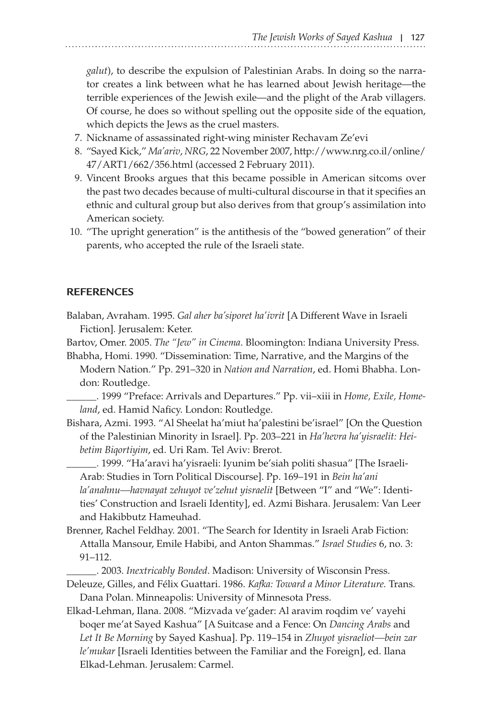*galut*), to describe the expulsion of Palestinian Arabs. In doing so the narrator creates a link between what he has learned about Jewish heritage—the terrible experiences of the Jewish exile—and the plight of the Arab villagers. Of course, he does so without spelling out the opposite side of the equation, which depicts the Jews as the cruel masters.

- 7. Nickname of assassinated right-wing minister Rechavam Ze'evi
- 8. "Sayed Kick," *Ma'ariv*, *NRG*, 22 November 2007, http://www.nrg.co.il/online/ 47/ART1/662/356.html (accessed 2 February 2011).
- 9. Vincent Brooks argues that this became possible in American sitcoms over the past two decades because of multi-cultural discourse in that it specifies an ethnic and cultural group but also derives from that group's assimilation into American society.
- 10. "The upright generation" is the antithesis of the "bowed generation" of their parents, who accepted the rule of the Israeli state.

#### **References**

Balaban, Avraham. 1995. *Gal aher ba'siporet ha'ivrit* [A Different Wave in Israeli Fiction]*.* Jerusalem: Keter.

Bartov, Omer. 2005. *The "Jew" in Cinema*. Bloomington: Indiana University Press.

Bhabha, Homi. 1990. "Dissemination: Time, Narrative, and the Margins of the Modern Nation." Pp. 291–320 in *Nation and Narration*, ed. Homi Bhabha. London: Routledge.

\_\_\_\_\_\_. 1999 "Preface: Arrivals and Departures." Pp. vii–xiii in *Home, Exile, Homeland*, ed. Hamid Naficy. London: Routledge.

Bishara, Azmi. 1993. "Al Sheelat ha'miut ha'palestini be'israel" [On the Question of the Palestinian Minority in Israel]. Pp. 203–221 in *Ha'hevra ha'yisraelit: Heibetim Biqortiyim*, ed. Uri Ram. Tel Aviv: Brerot.

\_\_\_\_\_\_. 1999. "Ha'aravi ha'yisraeli: Iyunim be'siah politi shasua" [The Israeli-Arab: Studies in Torn Political Discourse]. Pp. 169–191 in *Bein ha'ani la'anahnu—havnayat zehuyot ve'zehut yisraelit* [Between "I" and "We": Identities' Construction and Israeli Identity], ed. Azmi Bishara. Jerusalem: Van Leer and Hakibbutz Hameuhad.

- Brenner, Rachel Feldhay. 2001. "The Search for Identity in Israeli Arab Fiction: Attalla Mansour, Emile Habibi, and Anton Shammas." *Israel Studies* 6, no. 3: 91–112.
	- \_\_\_\_\_\_. 2003. *Inextricably Bonded*. Madison: University of Wisconsin Press.
- Deleuze, Gilles, and Félix Guattari. 1986. *Kafka: Toward a Minor Literature.* Trans*.* Dana Polan. Minneapolis: University of Minnesota Press.
- Elkad-Lehman, Ilana. 2008. "Mizvada ve'gader: Al aravim roqdim ve' vayehi boqer me'at Sayed Kashua" [A Suitcase and a Fence: On *Dancing Arabs* and *Let It Be Morning* by Sayed Kashua]. Pp. 119–154 in *Zhuyot yisraeliot—bein zar le'mukar* [Israeli Identities between the Familiar and the Foreign], ed. Ilana Elkad-Lehman. Jerusalem: Carmel.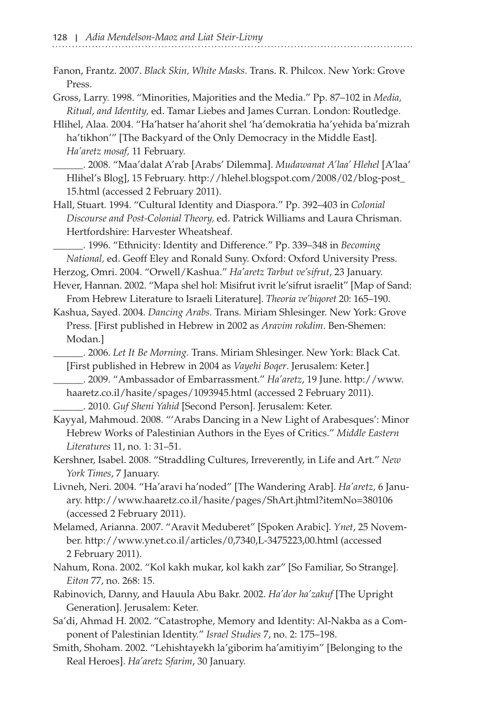Fanon, Frantz. 2007. *Black Skin, White Masks.* Trans. R. Philcox. New York: Grove Press.

Gross, Larry. 1998. "Minorities, Majorities and the Media." Pp. 87–102 in *Media, Ritual, and Identity,* ed. Tamar Liebes and James Curran. London: Routledge.

Hlihel, Alaa. 2004. "Ha'hatser ha'ahorit shel 'ha'demokratia ha'yehida ba'mizrah ha'tikhon'" [The Backyard of the Only Democracy in the Middle East]. *Ha'aretz mosaf,* 11 February.

\_\_\_\_\_\_. 2008. "Maa'dalat A'rab [Arabs' Dilemma]. *Mudawanat A'laa' Hlehel* [A'laa' Hlihel's Blog], 15 February. http://hlehel.blogspot.com/2008/02/blog-post\_ 15.html (accessed 2 February 2011).

Hall, Stuart. 1994. "Cultural Identity and Diaspora." Pp. 392–403 in *Colonial Discourse and Post-Colonial Theory,* ed. Patrick Williams and Laura Chrisman. Hertfordshire: Harvester Wheatsheaf.

\_\_\_\_\_\_. 1996. "Ethnicity: Identity and Difference." Pp. 339–348 in *Becoming National,* ed. Geoff Eley and Ronald Suny. Oxford: Oxford University Press.

Herzog, Omri. 2004. "Orwell/Kashua." *Ha'aretz Tarbut ve'sifrut*, 23 January.

Hever, Hannan. 2002. "Mapa shel hol: Misifrut ivrit le'sifrut israelit" [Map of Sand: From Hebrew Literature to Israeli Literature]. *Theoria ve'biqoret* 20: 165–190.

Kashua, Sayed. 2004. *Dancing Arabs.* Trans. Miriam Shlesinger. New York: Grove Press. [First published in Hebrew in 2002 as *Aravim rokdim*. Ben-Shemen: Modan.]

\_\_\_\_\_\_. 2006. *Let It Be Morning.* Trans. Miriam Shlesinger. New York: Black Cat. [First published in Hebrew in 2004 as *Vayehi Boqer*. Jerusalem: Keter.]

\_\_\_\_\_\_. 2009. "Ambassador of Embarrassment." *Ha'aretz*, 19 June. http://www. haaretz.co.il/hasite/spages/1093945.html (accessed 2 February 2011). \_\_\_\_\_\_. 2010. *Guf Sheni Yahid* [Second Person]. Jerusalem: Keter.

Kayyal, Mahmoud. 2008. "'Arabs Dancing in a New Light of Arabesques': Minor Hebrew Works of Palestinian Authors in the Eyes of Critics." *Middle Eastern Literatures* 11, no. 1: 31–51.

- Kershner, Isabel. 2008. "Straddling Cultures, Irreverently, in Life and Art." *New York Times*, 7 January.
- Livneh, Neri. 2004. "Ha'aravi ha'noded" [The Wandering Arab]. *Ha'aretz,* 6 January. http://www.haaretz.co.il/hasite/pages/ShArt.jhtml?itemNo=380106 (accessed 2 February 2011).

Melamed, Arianna. 2007. "Aravit Meduberet" [Spoken Arabic]. *Ynet*, 25 November. http://www.ynet.co.il/articles/0,7340,L-3475223,00.html (accessed 2 February 2011).

Nahum, Rona. 2002. "Kol kakh mukar, kol kakh zar" [So Familiar, So Strange]. *Eiton* 77, no. 268: 15.

- Rabinovich, Danny, and Hauula Abu Bakr. 2002. *Ha'dor ha'zakuf* [The Upright Generation]. Jerusalem: Keter.
- Sa'di, Ahmad H. 2002. "Catastrophe, Memory and Identity: Al-Nakba as a Component of Palestinian Identity." *Israel Studies* 7, no. 2: 175–198.
- Smith, Shoham. 2002. "Lehishtayekh la'giborim ha'amitiyim" [Belonging to the Real Heroes]. *Ha'aretz Sfarim*, 30 January.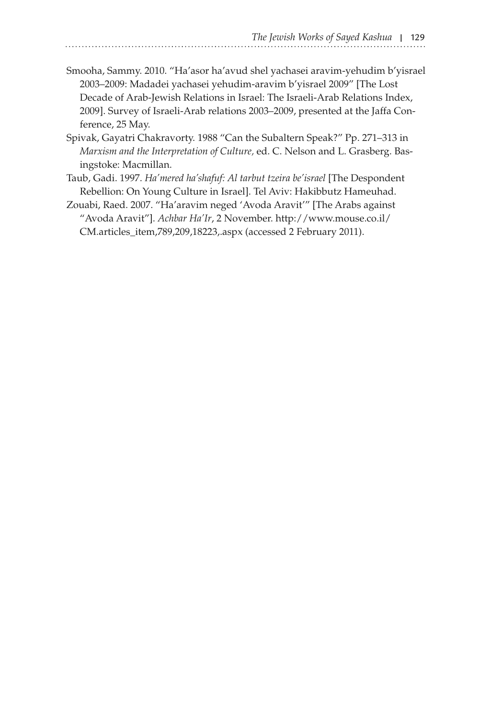- Smooha, Sammy. 2010. "Ha'asor ha'avud shel yachasei aravim-yehudim b'yisrael 2003–2009: Madadei yachasei yehudim-aravim b'yisrael 2009" [The Lost Decade of Arab-Jewish Relations in Israel: The Israeli-Arab Relations Index, 2009]. Survey of Israeli-Arab relations 2003–2009, presented at the Jaffa Conference, 25 May.
- Spivak, Gayatri Chakravorty. 1988 "Can the Subaltern Speak?" Pp. 271–313 in *Marxism and the Interpretation of Culture,* ed. C. Nelson and L. Grasberg. Basingstoke: Macmillan.
- Taub, Gadi. 1997. *Ha'mered ha'shafuf: Al tarbut tzeira be'israel* [The Despondent Rebellion: On Young Culture in Israel]. Tel Aviv: Hakibbutz Hameuhad.
- Zouabi, Raed. 2007. "Ha'aravim neged 'Avoda Aravit'" [The Arabs against "Avoda Aravit"]. *Achbar Ha'Ir*, 2 November. http://www.mouse.co.il/ CM.articles\_item,789,209,18223,.aspx (accessed 2 February 2011).